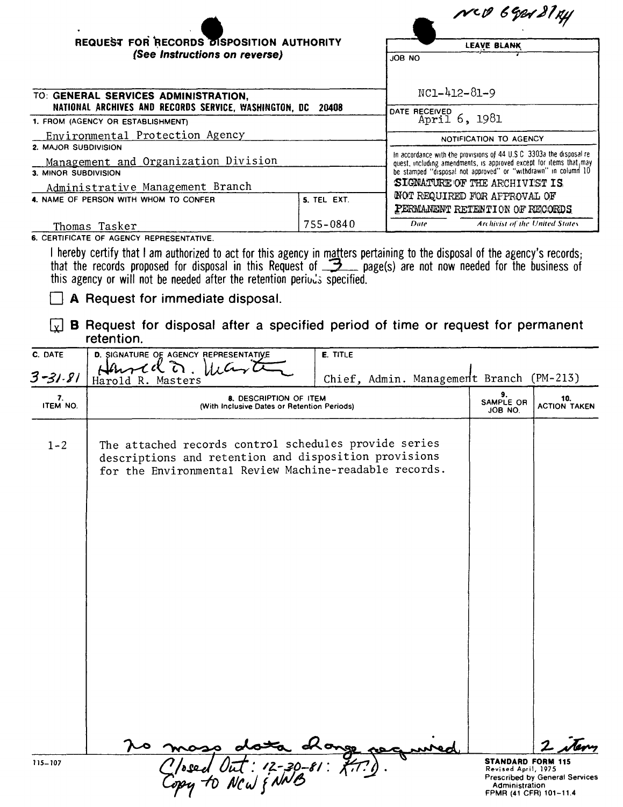| ٠                                                                                                                                                                           |             | MCD 6921814                                                                                                                                                                                                                                     |  |  |  |
|-----------------------------------------------------------------------------------------------------------------------------------------------------------------------------|-------------|-------------------------------------------------------------------------------------------------------------------------------------------------------------------------------------------------------------------------------------------------|--|--|--|
| REQUEST FOR RECORDS DISPOSITION AUTHORITY                                                                                                                                   |             | <b>LEAVE BLANK</b>                                                                                                                                                                                                                              |  |  |  |
| (See Instructions on reverse)                                                                                                                                               |             | JOB NO                                                                                                                                                                                                                                          |  |  |  |
| TO: GENERAL SERVICES ADMINISTRATION.<br>NATIONAL ARCHIVES AND RECORDS SERVICE, WASHINGTON, DC 20408<br>1. FROM (AGENCY OR ESTABLISHMENT)<br>Environmental Protection Agency |             | $NC1 - 412 - 81 - 9$                                                                                                                                                                                                                            |  |  |  |
|                                                                                                                                                                             |             | DATE RECEIVED 6, 1981<br>NOTIFICATION TO AGENCY                                                                                                                                                                                                 |  |  |  |
|                                                                                                                                                                             |             |                                                                                                                                                                                                                                                 |  |  |  |
| Management and Organization Division                                                                                                                                        |             | In accordance with the provisions of 44 U.S.C. 3303a the disposal re-<br>quest, including amendments, is approved except for items that may<br>be stamped "disposal not approved" or "withdrawn" in column 10<br>SIGNATURE OF THE ARCHIVIST IS. |  |  |  |
| 3. MINOR SUBDIVISION                                                                                                                                                        |             |                                                                                                                                                                                                                                                 |  |  |  |
| Administrative Management Branch                                                                                                                                            |             |                                                                                                                                                                                                                                                 |  |  |  |
| 4. NAME OF PERSON WITH WHOM TO CONFER                                                                                                                                       | 5. TEL EXT. | NOT REQUIRED FOR APPROVAL OF<br>PERMANENT RETENTION OF RECORDS                                                                                                                                                                                  |  |  |  |
| Thomas Tasker                                                                                                                                                               | 755-0840    | Date<br>Archivist of the United States                                                                                                                                                                                                          |  |  |  |

6. CERTIFICATE OF AGENCY REPRESENTATIVE.

l hereby certify that I am authorized to act for this agency in matters pertaining to the disposal of the agency's records;<br>that the records proposed for disposal in this Request of \_\_\_\_\_\_\_ page(s) are not now needed for t this agency or will not be needed after the retention periods specified.

 $\Box$  A Request for immediate disposal.

 $\boxed{\mathbf{x}}$  **B** Request for disposal after a specified period of time or request for permanent retention.

| C. DATE        | D. SIGNATURE OF AGENCY REPRESENTATIVE                                                                                                                                    | E. TITLE                                 |                                                                                             |                                       |
|----------------|--------------------------------------------------------------------------------------------------------------------------------------------------------------------------|------------------------------------------|---------------------------------------------------------------------------------------------|---------------------------------------|
| $3 - 31 - 81$  | $\Omega$<br>Harold R. Masters                                                                                                                                            | Chief, Admin. Management Branch (PM-213) |                                                                                             |                                       |
| 7.<br>ITEM NO. | <b>8. DESCRIPTION OF ITEM</b><br>(With Inclusive Dates or Retention Periods)                                                                                             | 9.<br>SAMPLE OR<br>JOB NO.               | 10.<br><b>ACTION TAKEN</b>                                                                  |                                       |
| $1 - 2$        | The attached records control schedules provide series<br>descriptions and retention and disposition provisions<br>for the Environmental Review Machine-readable records. |                                          |                                                                                             |                                       |
|                |                                                                                                                                                                          |                                          |                                                                                             |                                       |
|                |                                                                                                                                                                          |                                          |                                                                                             |                                       |
|                |                                                                                                                                                                          |                                          |                                                                                             |                                       |
| 115-107        | $: 72 - 30 - 81 : 77.$                                                                                                                                                   | de ongs                                  | <b>STANDARD FORM 115</b><br>Revised April, 1975<br>Administration<br>FPMR (41 CFR) 101-11.4 | <b>Prescribed by General Services</b> |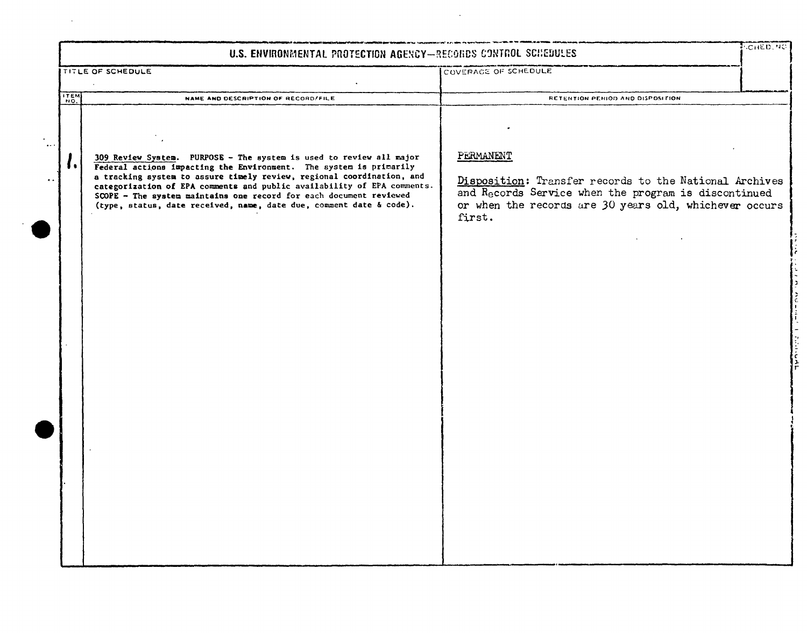|                                                      | U.S. ENVIRONMENTAL PROTECTION AGENCY-RECORDS CONTROL SCHEDULES                                                                                                                                                                                                                                                                                                                                                                                    |                                                                                                                                                                                                 | <b>SCHED, NO</b> |
|------------------------------------------------------|---------------------------------------------------------------------------------------------------------------------------------------------------------------------------------------------------------------------------------------------------------------------------------------------------------------------------------------------------------------------------------------------------------------------------------------------------|-------------------------------------------------------------------------------------------------------------------------------------------------------------------------------------------------|------------------|
|                                                      | <b>TITLE OF SCHEDULE</b>                                                                                                                                                                                                                                                                                                                                                                                                                          | COVERAGE OF SCHEDULE                                                                                                                                                                            |                  |
| <b>ITEM</b>                                          | NAME AND DESCRIPTION OF RECORD/FILE                                                                                                                                                                                                                                                                                                                                                                                                               | RETENTION PERIOD AND DISPOSITION.                                                                                                                                                               |                  |
| $\rightarrow$ - $\rightarrow$<br>$\bullet$ $\bullet$ | 309 Review System. PURPOSE - The system is used to review all major<br>Federal actions impacting the Environment. The system is primarily<br>. .<br>a tracking system to assure timely review, regional coordination, and<br>categorization of EPA comments and public availability of EPA comments.<br>SCOPE - The system maintains one record for each document reviewed<br>(type, status, date received, name, date due, comment date & code). | PERMANENT<br>Disposition: Transfer records to the National Archives<br>and Records Service when the program is discontinued<br>or when the records are 30 years old, whichever occurs<br>first. |                  |

 $\sim 10^{-10}$ 

 $\mathcal{L}^{\mathcal{L}}$